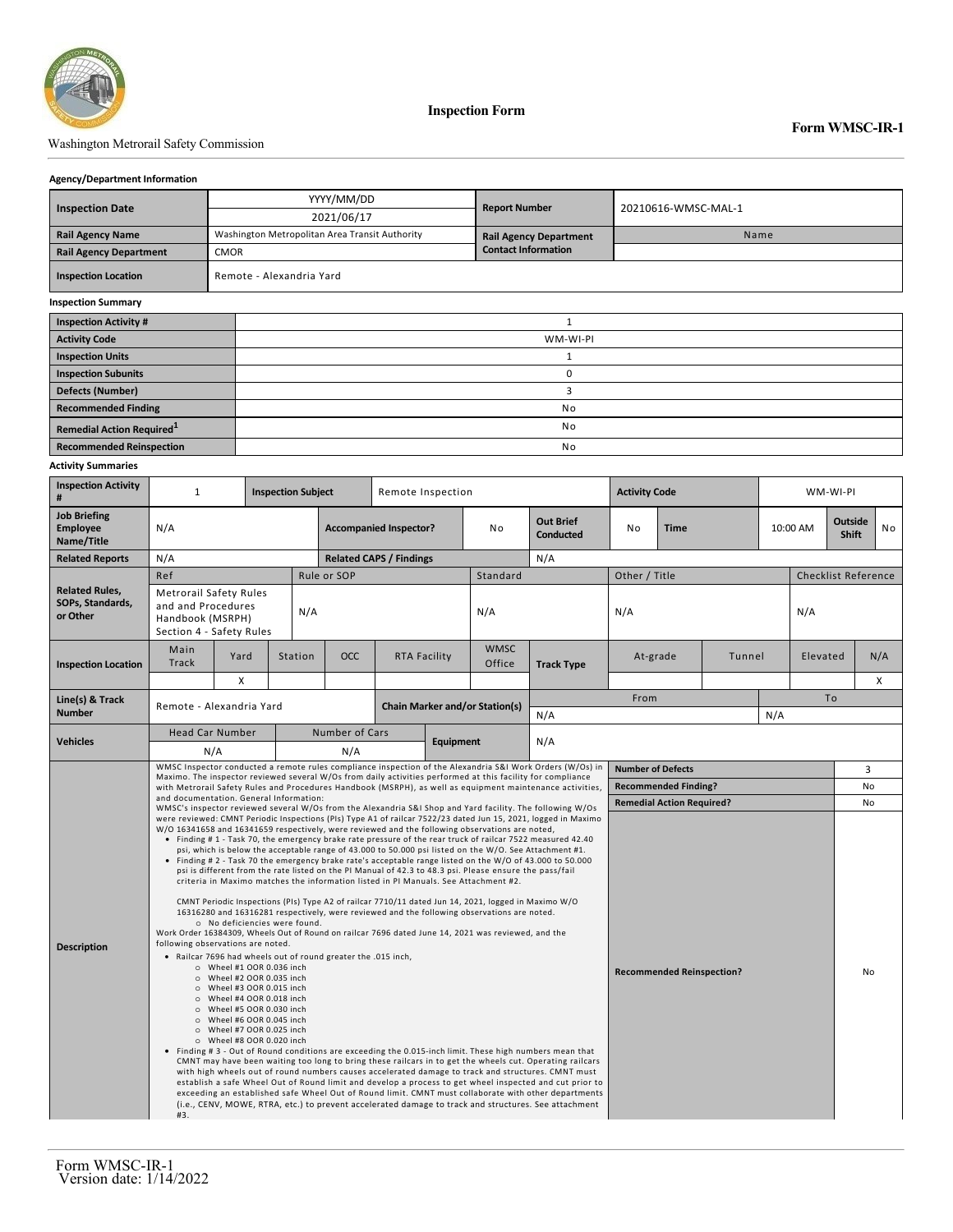

**Inspection Form**

## Washington Metrorail Safety Commission

## **Agency/Department Information**

|                               |             | YYYY/MM/DD                                     | <b>Report Number</b>          | 20210616-WMSC-MAL-1 |  |  |  |  |  |
|-------------------------------|-------------|------------------------------------------------|-------------------------------|---------------------|--|--|--|--|--|
| <b>Inspection Date</b>        |             | 2021/06/17                                     |                               |                     |  |  |  |  |  |
| <b>Rail Agency Name</b>       |             | Washington Metropolitan Area Transit Authority | <b>Rail Agency Department</b> | Name                |  |  |  |  |  |
| <b>Rail Agency Department</b> | <b>CMOR</b> |                                                | <b>Contact Information</b>    |                     |  |  |  |  |  |
| <b>Inspection Location</b>    |             | Remote - Alexandria Yard                       |                               |                     |  |  |  |  |  |
| <b>Inspection Summary</b>     |             |                                                |                               |                     |  |  |  |  |  |
| <b>Inspection Activity #</b>  |             |                                                |                               |                     |  |  |  |  |  |
| <b>Activity Code</b>          |             | WM-WI-PI                                       |                               |                     |  |  |  |  |  |
| <b>Inspection Units</b>       |             |                                                |                               |                     |  |  |  |  |  |
| <b>Inspection Subunits</b>    |             |                                                | 0                             |                     |  |  |  |  |  |
| <b>Defects (Number)</b>       |             |                                                |                               |                     |  |  |  |  |  |
| <b>Recommended Finding</b>    |             | No                                             |                               |                     |  |  |  |  |  |

**Remedial Action Required**<sup>1</sup> and **1** No **Recommended Reinspection** 

## **Activity Summaries**

| <b>Inspection Activity</b><br>#                       | $\mathbf{1}$<br><b>Inspection Subject</b>                                                                                                                                                                                                         |                                                                                                                                                                                                                                            |                                                                                                                                                                                       | Remote Inspection                                                                                         |                                |           |                                                                                                                                                                                                                                                                                                               | <b>Activity Code</b>                                                                                                                                                                                                                                                                                                                                                                                                                                                                                                                                                                                                                                                                                                                                                                                                                                                                                                                                                                                                                                                                                          |                                  |                             | WM-WI-PI |  |                                     |                            |                |  |
|-------------------------------------------------------|---------------------------------------------------------------------------------------------------------------------------------------------------------------------------------------------------------------------------------------------------|--------------------------------------------------------------------------------------------------------------------------------------------------------------------------------------------------------------------------------------------|---------------------------------------------------------------------------------------------------------------------------------------------------------------------------------------|-----------------------------------------------------------------------------------------------------------|--------------------------------|-----------|---------------------------------------------------------------------------------------------------------------------------------------------------------------------------------------------------------------------------------------------------------------------------------------------------------------|---------------------------------------------------------------------------------------------------------------------------------------------------------------------------------------------------------------------------------------------------------------------------------------------------------------------------------------------------------------------------------------------------------------------------------------------------------------------------------------------------------------------------------------------------------------------------------------------------------------------------------------------------------------------------------------------------------------------------------------------------------------------------------------------------------------------------------------------------------------------------------------------------------------------------------------------------------------------------------------------------------------------------------------------------------------------------------------------------------------|----------------------------------|-----------------------------|----------|--|-------------------------------------|----------------------------|----------------|--|
| <b>Job Briefing</b><br><b>Employee</b><br>Name/Title  | N/A                                                                                                                                                                                                                                               |                                                                                                                                                                                                                                            |                                                                                                                                                                                       | <b>Accompanied Inspector?</b>                                                                             |                                |           | No                                                                                                                                                                                                                                                                                                            | <b>Out Brief</b><br><b>Conducted</b>                                                                                                                                                                                                                                                                                                                                                                                                                                                                                                                                                                                                                                                                                                                                                                                                                                                                                                                                                                                                                                                                          | No                               | <b>Time</b>                 |          |  | Outside<br>10:00 AM<br><b>Shift</b> |                            | N <sub>o</sub> |  |
| <b>Related Reports</b>                                | N/A                                                                                                                                                                                                                                               |                                                                                                                                                                                                                                            |                                                                                                                                                                                       |                                                                                                           | <b>Related CAPS / Findings</b> |           |                                                                                                                                                                                                                                                                                                               | N/A                                                                                                                                                                                                                                                                                                                                                                                                                                                                                                                                                                                                                                                                                                                                                                                                                                                                                                                                                                                                                                                                                                           |                                  |                             |          |  |                                     |                            |                |  |
|                                                       | Ref                                                                                                                                                                                                                                               |                                                                                                                                                                                                                                            |                                                                                                                                                                                       | Rule or SOP                                                                                               |                                |           | Standard                                                                                                                                                                                                                                                                                                      |                                                                                                                                                                                                                                                                                                                                                                                                                                                                                                                                                                                                                                                                                                                                                                                                                                                                                                                                                                                                                                                                                                               | Other / Title                    |                             |          |  |                                     | <b>Checklist Reference</b> |                |  |
| <b>Related Rules,</b><br>SOPs, Standards,<br>or Other | <b>Metrorail Safety Rules</b><br>and and Procedures<br>Handbook (MSRPH)<br>Section 4 - Safety Rules                                                                                                                                               | N/A                                                                                                                                                                                                                                        |                                                                                                                                                                                       |                                                                                                           |                                | N/A       | N/A                                                                                                                                                                                                                                                                                                           |                                                                                                                                                                                                                                                                                                                                                                                                                                                                                                                                                                                                                                                                                                                                                                                                                                                                                                                                                                                                                                                                                                               |                                  |                             | N/A      |  |                                     |                            |                |  |
| <b>Inspection Location</b>                            | Main<br>Yard<br>Track                                                                                                                                                                                                                             |                                                                                                                                                                                                                                            | Station                                                                                                                                                                               | OCC                                                                                                       | RTA Facility                   |           | <b>WMSC</b><br>Office                                                                                                                                                                                                                                                                                         | <b>Track Type</b>                                                                                                                                                                                                                                                                                                                                                                                                                                                                                                                                                                                                                                                                                                                                                                                                                                                                                                                                                                                                                                                                                             | At-grade<br>Tunnel               |                             | Elevated |  |                                     | N/A                        |                |  |
|                                                       |                                                                                                                                                                                                                                                   | X                                                                                                                                                                                                                                          |                                                                                                                                                                                       |                                                                                                           |                                |           |                                                                                                                                                                                                                                                                                                               |                                                                                                                                                                                                                                                                                                                                                                                                                                                                                                                                                                                                                                                                                                                                                                                                                                                                                                                                                                                                                                                                                                               |                                  |                             |          |  |                                     |                            | X              |  |
| Line(s) & Track                                       |                                                                                                                                                                                                                                                   |                                                                                                                                                                                                                                            |                                                                                                                                                                                       | <b>Chain Marker and/or Station(s)</b>                                                                     |                                |           | From                                                                                                                                                                                                                                                                                                          |                                                                                                                                                                                                                                                                                                                                                                                                                                                                                                                                                                                                                                                                                                                                                                                                                                                                                                                                                                                                                                                                                                               |                                  |                             | To       |  |                                     |                            |                |  |
| <b>Number</b>                                         |                                                                                                                                                                                                                                                   | Remote - Alexandria Yard                                                                                                                                                                                                                   |                                                                                                                                                                                       |                                                                                                           |                                |           |                                                                                                                                                                                                                                                                                                               | N/A                                                                                                                                                                                                                                                                                                                                                                                                                                                                                                                                                                                                                                                                                                                                                                                                                                                                                                                                                                                                                                                                                                           | N/A                              |                             |          |  |                                     |                            |                |  |
| <b>Vehicles</b>                                       | <b>Head Car Number</b><br>N/A                                                                                                                                                                                                                     |                                                                                                                                                                                                                                            |                                                                                                                                                                                       | Number of Cars<br>N/A                                                                                     |                                | Equipment |                                                                                                                                                                                                                                                                                                               | N/A                                                                                                                                                                                                                                                                                                                                                                                                                                                                                                                                                                                                                                                                                                                                                                                                                                                                                                                                                                                                                                                                                                           |                                  |                             |          |  |                                     |                            |                |  |
|                                                       |                                                                                                                                                                                                                                                   |                                                                                                                                                                                                                                            |                                                                                                                                                                                       | WMSC Inspector conducted a remote rules compliance inspection of the Alexandria S&I Work Orders (W/Os) in |                                |           |                                                                                                                                                                                                                                                                                                               |                                                                                                                                                                                                                                                                                                                                                                                                                                                                                                                                                                                                                                                                                                                                                                                                                                                                                                                                                                                                                                                                                                               | <b>Number of Defects</b>         |                             |          |  |                                     |                            | 3              |  |
|                                                       | Maximo. The inspector reviewed several W/Os from daily activities performed at this facility for compliance<br>with Metrorail Safety Rules and Procedures Handbook (MSRPH), as well as equipment maintenance activities,                          |                                                                                                                                                                                                                                            |                                                                                                                                                                                       |                                                                                                           |                                |           |                                                                                                                                                                                                                                                                                                               |                                                                                                                                                                                                                                                                                                                                                                                                                                                                                                                                                                                                                                                                                                                                                                                                                                                                                                                                                                                                                                                                                                               |                                  | <b>Recommended Finding?</b> |          |  |                                     |                            | No             |  |
|                                                       | and documentation. General Information:<br>WMSC's inspector reviewed several W/Os from the Alexandria S&I Shop and Yard facility. The following W/Os                                                                                              |                                                                                                                                                                                                                                            |                                                                                                                                                                                       |                                                                                                           |                                |           |                                                                                                                                                                                                                                                                                                               |                                                                                                                                                                                                                                                                                                                                                                                                                                                                                                                                                                                                                                                                                                                                                                                                                                                                                                                                                                                                                                                                                                               | <b>Remedial Action Required?</b> |                             |          |  |                                     |                            | No             |  |
| <b>Description</b>                                    | W/O 16341658 and 16341659 respectively, were reviewed and the following observations are noted,<br>Work Order 16384309, Wheels Out of Round on railcar 7696 dated June 14, 2021 was reviewed, and the<br>following observations are noted.<br>#3. | O Wheel #1 OOR 0.036 inch<br>$\circ$ Wheel #2 OOR 0.035 inch<br>O Wheel #3 OOR 0.015 inch<br>O Wheel #4 OOR 0.018 inch<br>O Wheel #5 OOR 0.030 inch<br>O Wheel #6 OOR 0.045 inch<br>O Wheel #7 OOR 0.025 inch<br>O Wheel #8 OOR 0.020 inch | criteria in Maximo matches the information listed in PI Manuals. See Attachment #2.<br>o No deficiencies were found.<br>. Railcar 7696 had wheels out of round greater the .015 inch, |                                                                                                           |                                |           | psi is different from the rate listed on the PI Manual of 42.3 to 48.3 psi. Please ensure the pass/fail<br>CMNT Periodic Inspections (PIs) Type A2 of railcar 7710/11 dated Jun 14, 2021, logged in Maximo W/O<br>16316280 and 16316281 respectively, were reviewed and the following observations are noted. | were reviewed: CMNT Periodic Inspections (PIs) Type A1 of railcar 7522/23 dated Jun 15, 2021, logged in Maximo<br>• Finding # 1 - Task 70, the emergency brake rate pressure of the rear truck of railcar 7522 measured 42.40<br>psi, which is below the acceptable range of 43.000 to 50.000 psi listed on the W/O. See Attachment #1.<br>• Finding # 2 - Task 70 the emergency brake rate's acceptable range listed on the W/O of 43.000 to 50.000<br>• Finding # 3 - Out of Round conditions are exceeding the 0.015-inch limit. These high numbers mean that<br>CMNT may have been waiting too long to bring these railcars in to get the wheels cut. Operating railcars<br>with high wheels out of round numbers causes accelerated damage to track and structures. CMNT must<br>establish a safe Wheel Out of Round limit and develop a process to get wheel inspected and cut prior to<br>exceeding an established safe Wheel Out of Round limit. CMNT must collaborate with other departments<br>(i.e., CENV, MOWE, RTRA, etc.) to prevent accelerated damage to track and structures. See attachment | <b>Recommended Reinspection?</b> |                             |          |  |                                     | No                         |                |  |